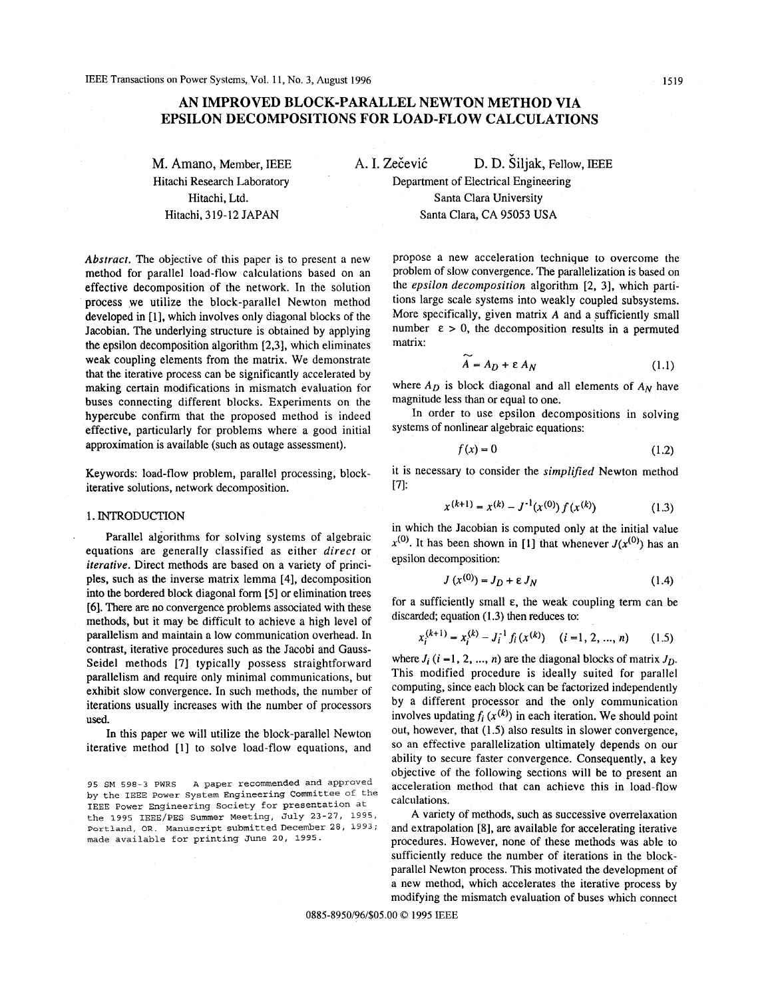# **AN IMPROVED BLOCK-PARALLEL NEWTON METHOD VIA EPSILON DECOMPOSITIONS FOR LOAD-FLOW CALCULATIONS**

**M. Amano, Member, IEEE** A. I. Zečević D. D. Šiljak, Fellow, IEEE Hitachi Research Laboratory Hitachi, Ltd. Hitachi, 319-12 JAPAN

*Abstract.* The objective of this paper is to present a new method for parallel load-flow calculations based on an effective decomposition of the network. In the solution process we utilize the block-parallel Newton method developed in [1], which involves only diagonal blocks of the Jacobian. The underlying structure is obtained by applying the epsilon decomposition algorithm [2,3], which eliminates weak coupling elements from the matrix. We demonstrate that the iterative process can be significantly accelerated by making certain modifications in mismatch evaluation for buses connecting different blocks. Experiments on the hypercube confirm that the proposed method is indeed effective, particularly for problems where a good initial approximation is available (such as outage assessment).

Keywords: load-flow problem, parallel processing, blockiterative solutions, network decomposition.

## 1. INTRODUCTION

Parallel algorithms for solving systems of algebraic equations are generally classified as either *direct* or *iterative.* Direct methods are based on a variety of principles, such as the inverse matrix lemma [4], decomposition into the bordered block diagonal form [5] or elimination trees [6]. There are no convergence problems associated with these methods, but it may be difficult to achieve a high level of parallelism and maintain a low communication overhead. In contrast, iterative procedures such as the Jacobi and Gauss-Seidel methods [7] typically possess straightforward parallelism and require only minimal communications, but exhibit slow convergence. In such methods, the number of iterations usually increases with the number of processors used.

In this paper we will utilize the block-parallel Newton iterative method [1] to solve load-flow equations, and

Department of Electrical Engineering Santa Clara University Santa Clara, **CA** 95053 **USA** 

propose a new acceleration technique to overcome the problem of slow convergence. The parallelization is based on the *epsilon decomposition* algorithm [2, 31, which partitions large scale systems into weakly coupled subsystems. More specifically, given matrix **A** and a sufficiently small number  $\varepsilon > 0$ , the decomposition results in a permuted matrix:

$$
A = A_D + \varepsilon A_N \tag{1.1}
$$

where  $A_D$  is block diagonal and all elements of  $A_N$  have magnitude less than or equal to one.

In order to use epsilon decompositions in solving systems of nonlinear algebraic equations:

$$
f(x) = 0 \tag{1.2}
$$

it is necessary to consider the *simplified* Newton method  $[7]:$ 

$$
x^{(k+1)} = x^{(k)} - J^{-1}(x^{(0)}) f(x^{(k)})
$$
 (1.3)

in which the Jacobian is computed only at the initial value  $x^{(0)}$ . It has been shown in [1] that whenever  $J(x^{(0)})$  has an epsilon decomposition:

$$
J\left(x^{(0)}\right) = J_D + \varepsilon J_N \tag{1.4}
$$

for a sufficiently small **E,** the weak coupling term can be discarded; equation (1.3) then reduces to:

$$
x_i^{(k+1)} = x_i^{(k)} - J_i^{-1} f_i(x^{(k)}) \quad (i = 1, 2, ..., n) \tag{1.5}
$$

where  $J_i$  ( $i = 1, 2, ..., n$ ) are the diagonal blocks of matrix  $J_D$ . This modified procedure is ideally suited for parallel computing, since each block can be factorized independently by a different processor and the only communication involves updating  $f_i(x^{(k)})$  in each iteration. We should point out, however, that (1.5) also results in slower convergence, so an effective parallelization ultimately depends on our ability to secure faster convergence. Consequently, a key objective of the following sections will be to present an acceleration method that can achieve this in load-flow calculations.

**A** variety of methods, such as successive overrelaxation and extrapolation **[8],** are available for accelerating iterative procedures. However, none of these methods was able to sufficiently reduce the number of iterations in the blockparallel Newton process. This motivated the development of a new method, which accelerates the iterative process by modifying the mismatch evaluation of buses which connect

0885-8950/96/\$05.00 *0* 1995 IEEE

*<sup>95</sup>* **SM 598-3 PWRS by the IEEE Power System Engineering Committee of** the **IEEE Power Engineering Society for presentation at the 1995 IEEE/PES Summer Meeting, July 23-27, 1995, Portland, OR. Manuscript submitted December 28, 1993; made available for printing June 20, 1995. A paper recommended and approved**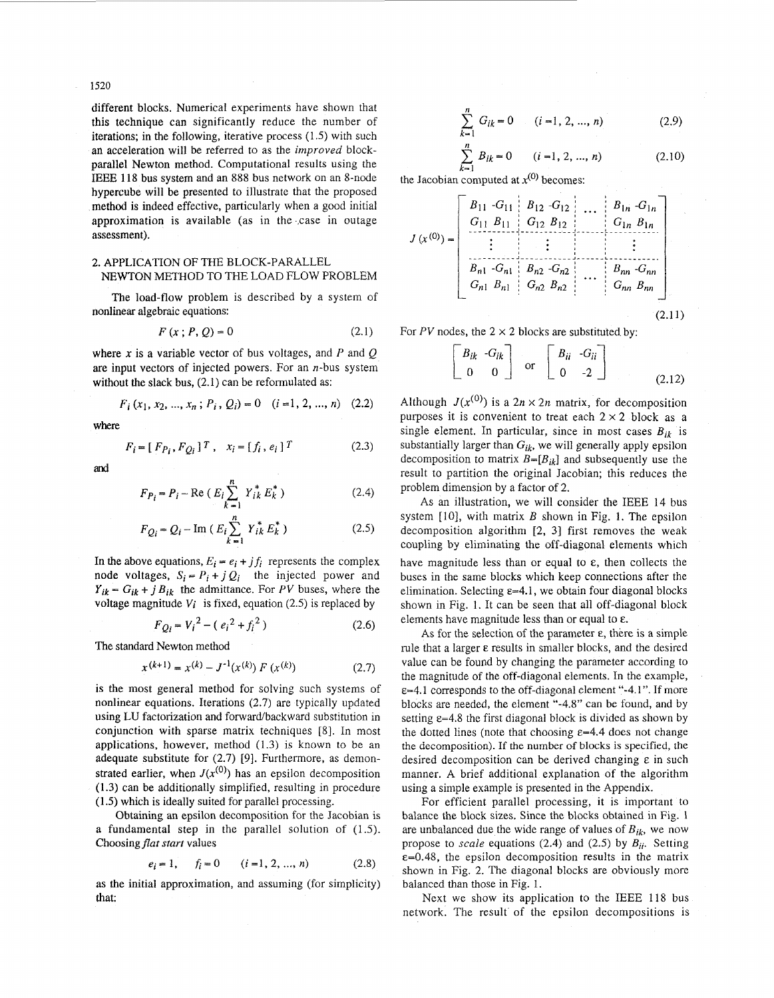1520

different blocks. Numerical experiments have shown that this technique can significantly reduce the number of iterations; in the following, iterative process (1 *S)* with such an acceleration will be referred to as the *improved* blockparallel Newton method. Computational results using the lEEE 118 bus system and an 888 bus network on an 8-node hypercube will be presented to illustrate that the proposed method is indeed effective, particularly when a good initial approximation is available (as in the ,case in outage assessment).

## **2.** APPLICATION OF THE BLOCK-PARALLEL NEWTON METHOD TO THE LOAD FLOW PROBLEM

The load-flow problem is described by a system of nonlinear algebraic equations:

$$
F(x; P, Q) = 0
$$
 (2.1)

where *x* is a variable vector of bus voltages, and *P* and *Q*  are input vectors of injected powers. For an  $n$ -bus system without the slack bus,  $(2.1)$  can be reformulated as:

$$
F_i(x_1, x_2, ..., x_n; P_i, Q_i) = 0 \quad (i = 1, 2, ..., n) \quad (2.2)
$$

**Where** 

$$
F_i = [F_{P_i}, F_{Q_i}]^T, \quad x_i = [f_i, e_i]^T
$$
 (2.3)

and

$$
F_{P_i} = P_i - \text{Re} (E_i \sum_{k=1}^{n} Y_{ik}^* E_k^*)
$$
 (2.4)

$$
F_{Q_i} = Q_i - \text{Im} (E_i \sum_{k=1}^{n} Y_{ik}^* E_k^*)
$$
 (2.5)

In the above equations,  $E_i = e_i + j f_i$  represents the complex node voltages,  $S_i = P_i + j Q_i$  the injected power and  $Y_{ik} - G_{ik} + j B_{ik}$  the admittance. For *PV* buses, where the voltage magnitude  $V_i$  is fixed, equation (2.5) is replaced by

$$
F_{Q_i} = V_i^2 - (e_i^2 + f_i^2)
$$
 (2.6)

The standard Newton method

$$
x^{(k+1)} = x^{(k)} - J^{-1}(x^{(k)}) F(x^{(k)})
$$
 (2.7)

is the most general method for solving such systems of nonlinear equations. Iterations (2.7) are typically updated using LU factorization and forward/backward substitution in conjunction with sparse matrix techniques [8]. In most applications, however, method **(1.3)** is known to be an adequate substitute for  $(2.7)$  [9]. Furthermore, as demonstrated earlier, when  $J(x^{(0)})$  has an epsilon decomposition (1.3) can be additionally simplified, resulting in procedure (1.5) which is ideally suited for parallel processing.

Obtaining an epsilon decomposition for the Jacobian is a fundamental step in the parallel solution of (1.5). Choosing *flat start* values

$$
e_i = 1, \qquad f_i = 0 \qquad (i = 1, 2, ..., n) \tag{2.8}
$$

as the initial approximation, and assuming (for simplicity) that:

$$
\sum_{k=1}^{n} G_{ik} = 0 \qquad (i = 1, 2, ..., n)
$$
 (2.9)

$$
\sum_{i=1}^{n} B_{ik} = 0 \qquad (i = 1, 2, ..., n)
$$
 (2.10)

the Jacobian computed at  $x^{(0)}$  becomes:

 $\hat{k}$ 

$$
J(x^{(0)}) = \begin{bmatrix} B_{11} & G_{11} & B_{12} & G_{12} & \dots & B_{1n} & G_{1n} \\ G_{11} & B_{11} & G_{12} & B_{12} & G_{1n} & B_{1n} \\ \vdots & \vdots & \vdots & \vdots & \vdots \\ B_{n1} & G_{n1} & B_{n2} & G_{n2} & \dots & B_{nn} & G_{nn} \\ G_{n1} & B_{n1} & G_{n2} & B_{n2} & \dots & G_{nn} & B_{nn} \end{bmatrix}
$$
(2.11)

For *PV* nodes, the  $2 \times 2$  blocks are substituted by:

$$
\begin{bmatrix} B_{ik} & -G_{ik} \\ 0 & 0 \end{bmatrix}
$$
 or 
$$
\begin{bmatrix} B_{ii} & -G_{ii} \\ 0 & -2 \end{bmatrix}
$$
 (2.12)

Although  $J(x^{(0)})$  is a  $2n \times 2n$  matrix, for decomposition purposes it is convenient to treat each  $2 \times 2$  block as a single element. In particular, since in most cases  $B_{ik}$  is substantially larger than  $G_{ik}$ , we will generally apply epsilon decomposition to matrix  $B=[B_{ik}]$  and subsequently use the result to partition the original Jacobian; this reduces the problem dimension by a factor of 2.

**As** an illustration, we will consider the IEEE 14 bus system [IO], with matrix *B* shown in [Fig.](#page-2-0) **1.** The epsilon decomposition algorithm [2, 31 first removes the weak coupling by eliminating the off-diagonal elements which have magnitude less than or equal to  $\varepsilon$ , then collects the buses in the same blocks which keep connections after the elimination. Selecting  $\varepsilon = 4.1$ , we obtain four diagonal blocks shown in [Fig. 1.](#page-2-0) It can be seen that all off-diagonal block elements have magnitude less than or equal to **E.** 

As for the selection of the parameter **E,** there is a simple rule that a larger  $\varepsilon$  results in smaller blocks, and the desired value can be found by changing the parameter according to the magnitude of the off-diagonal elements. In the example, ~=4.1 corresponds to the off-diagonal element "-4.1". If more blocks are needed, the element "-4.8" can be found, and by setting  $\varepsilon$ =4.8 the first diagonal block is divided as shown by the dotted lines (note that choosing  $\varepsilon$ =4.4 does not change the decomposition). **If the** number of blocks is specified, the desired decomposition can be derived changing **E** in such manner. **A** brief additional explanation of the algorithm using a simple example is presented in the Appendix.

For efficient parallel processing, it is important to balance the block sizes. Since the blocks obtained in [Fig. 1](#page-2-0) are unbalanced due the wide range of values of  $B_{ik}$ , we now propose to *scale* equations (2.4) and (2.5) by  $B_{ii}$ . Setting  $\varepsilon$ =0.48, the epsilon decomposition results in the matrix shown in Fig. 2. The diagonal blocks are obviously more balanced than those in [Fig.](#page-2-0) 1.

Next we show its application to the IEEE 118 bus network. The result of the epsilon decompositions is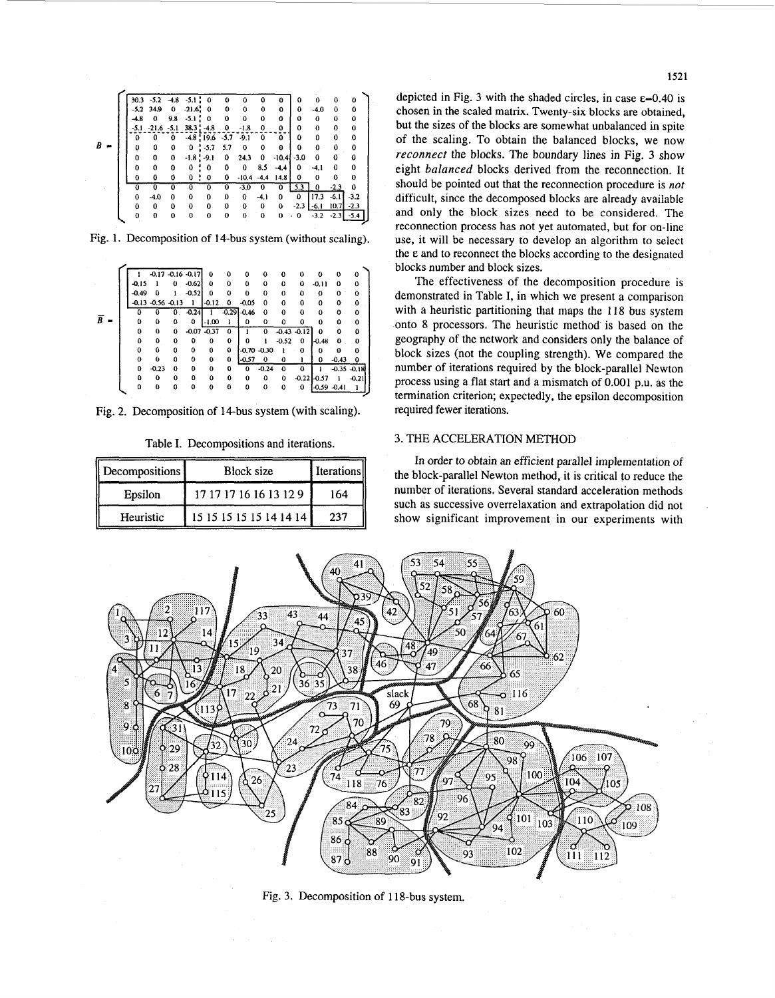<span id="page-2-0"></span>

|   |          | $30.3 - 5.2 - 4.8$ |          | $-5.1$ : 0      |               | 0        | 0        | 0           | 0        | 0      | 0        | 0      | ٥        |  |
|---|----------|--------------------|----------|-----------------|---------------|----------|----------|-------------|----------|--------|----------|--------|----------|--|
|   |          | $-5.2$ 34.9        | 0        | $-21.6$ : 0     |               | 0        | 0        | 0           | 0        | 0      | $-4.0$   | 0      | 0        |  |
|   | $-4.8$   | 0                  | 9.8      | $-5.1$ :        | $\Omega$      | 0        | 0        | 0           | 0        | 0      | $\bf{0}$ | 0      | $\bf{0}$ |  |
|   | $-5.1$   | $-21.6 - 5.1$      |          |                 | $38.3 : -4.8$ | 0        | $-1.8$   | 0           | 0        | 0      | 0        | 0      | 0        |  |
|   | 0        | 0                  | 0        |                 | $-4.8$ : 19.6 | $-5.7$   | $-9.1$   | 0           | 0        | 0      | 0        | 0      | 0        |  |
| B | o        | 0                  | 0        | 0               | $! -5.7$      | 5.7      | $\bf{0}$ | 0           | 0        | 0      | 0        | 0      | 0        |  |
|   | 0        | ٥                  | 0        | $-1.8$ : $-9.1$ |               | 0        | 24.3     | 0           | $-10.41$ | $-3.0$ | 0        | 0      | 0        |  |
|   | 0        | 0                  | 0        | 0               | 0             | 0        | 0        | 8.5         | $-4.4$   | 0      | $-4.1$   | 0      | 0        |  |
|   | 0        | 0                  | ٥        | 0               | 0             | 0        | $-10.4$  | $-4.4$      | 14.8     | 0      | $\bf{0}$ | 0      | 0        |  |
|   | $\bf{o}$ | 0                  | 0        | o               | $\Omega$      | Ö        | $-3.0$   | $\bf{0}$    | 0        | 5.3    | 0        | $-2.3$ | 0        |  |
|   | $\Omega$ | $-4.0$             | $\Omega$ | 0               | $\Omega$      | $\Omega$ | $\Omega$ | $-4.1$      | 0        | 0      | 17.3     | $-6.1$ | $-3.2$   |  |
|   | Ω        | 0                  | 0        | 0               | 0             | 0        | 0        | 0           | 0        | $-2.3$ | -6.1     | 10.7   | $-2.3$   |  |
|   | $\Omega$ | $\bf{0}$           | 0        | 0               | $\bf{0}$      | 0        | $\Omega$ | $\mathbf 0$ | 0        | . 0    | $-3.2$   | $-2.3$ |          |  |
|   |          |                    |          |                 |               |          |          |             |          |        |          |        |          |  |

Fig. 1. Decomposition of 14-bus system (without scaling).

|                |                |         |                       | $-0.17 - 0.16 - 0.17$ |         | $\bf{0}$ | $\bf{o}$       | $\Omega$       | $\Omega$    | 0        | $\Omega$       | 0              | $_{0}$  | o              |
|----------------|----------------|---------|-----------------------|-----------------------|---------|----------|----------------|----------------|-------------|----------|----------------|----------------|---------|----------------|
|                |                | $-0.15$ |                       | o                     | $-0.62$ | 0        | 0              | 0              | $\mathbf o$ | 0        | 0              | $-0.11$        | 0       | 0              |
|                |                | $-0.49$ | Ω                     |                       | $-0.52$ | 0        | 0              | $\Omega$       | $\Omega$    | 0        | $\Omega$       | 0              | 0       | Ò              |
|                |                |         | $-0.13 - 0.56 - 0.13$ |                       |         | $-0.12$  | 0              | $-0.05$        | $\Omega$    | $\Omega$ | $\Omega$       | 0              | 0       | 0              |
|                |                | ٥       | o                     | 0.                    | $-0.24$ |          | $-0.29 - 0.46$ |                | 0           | 0        | o              | 0              | 0       | 0              |
| $\overline{B}$ | $\blacksquare$ | 0       | 0                     | 0                     | 0       | $-1.00$  |                | 0              | 0           | O        | 0              | 0              | Ω       | $\bf{0}$       |
|                |                | 0       | 0                     | 0                     | $-0.07$ | $-0.37$  | 0              |                | 0           |          | $-0.43 - 0.12$ | 0              | 0       | 0              |
|                |                | 0       | 0                     | $\Omega$              | ٥       | 0        | 0              | Ω              |             | $-0.52$  | 0              | $-0.48$        | 0       | 0              |
|                |                | 0       | 0                     | $\bf{0}$              | 0       | 0        | $\Omega$       | $-0.70 - 0.30$ |             | Ŧ        | $\Omega$       | 0              | 0       | o              |
|                |                | 0       | 0                     | ٥                     | 0       | 0        | 0              | $-0.57$        | $\mathbf 0$ | 0        |                | 0              | $-0.43$ | 0              |
|                |                | 0       | $-0.23$               | $\bf{0}$              | 0       | 0        | $\Omega$       | $\Omega$       | $-0.24$     | ٥        | O              |                |         | $-0.35 - 0.18$ |
|                |                | o       | 0                     | $\Omega$              | o       | 0        | $\Omega$       | 0              | 0           | 0        | $-0.22$        | $-0.57$        |         | $-0.21$        |
|                |                | 0       | Λ                     | Ω                     | Ω       | o        | 0              | o              | 0           | 0        | 0              | $-0.59 - 0.41$ |         |                |

Fig. 2. Decomposition of 14-bus system (with scaling).

|  |  | Table I. Decompositions and iterations. |
|--|--|-----------------------------------------|
|  |  |                                         |

| Decompositions | Block size              | Iterations |  |  |
|----------------|-------------------------|------------|--|--|
| Epsilon        | 17 17 17 16 16 13 12 9  | 164        |  |  |
| Heuristic      | 15 15 15 15 15 14 14 14 | 237        |  |  |

depicted in Fig. 3 with the shaded circles, in case  $\varepsilon$ =0.40 is chosen in the scaled matrix. Twenty-six blocks are obtained, but the sizes of the blocks are somewhat unbalanced in spite of the scaling. To obtain the balanced blocks, we now *reconnect* the blocks. The boundary lines in Fig. **3** show eight *balanced* blocks derived from the reconnection. It should be pointed out that the reconnection procedure is *not*  difficult, since the decomposed blocks are already available and only the block sizes need to be considered. The reconnection process has not yet automated, but for on-line use, it will be necessary to develop an algorithm to select the **E** and to reconnect the blocks according to the designated blocks number **and** block sizes.

The effectiveness of the decomposition procedure is demonstrated in Table I, in which we present a comparison with a heuristic partitioning that maps the 118 **bus** system onto 8 processors. The heuristic method is based on the geography of the network and considers only the balance of block sizes (not the coupling strength). We compared the number of iterations required by the block-parallel Newton process using a flat start and a mismatch of 0.001 p.u. as the termination criterion; expectedly, the epsilon decomposition required fewer iterations.

## **3.** THE ACCELERATION METHOD

In order *to* obtain an efficient parallel implementation of the block-parallel Newton method, it is critical to reduce the number of iterations. Several standard acceleration methods such as successive overrelaxation and extrapolation did not show significant improvement in our experiments with



Fig. 3. Decomposition of 118-bus system.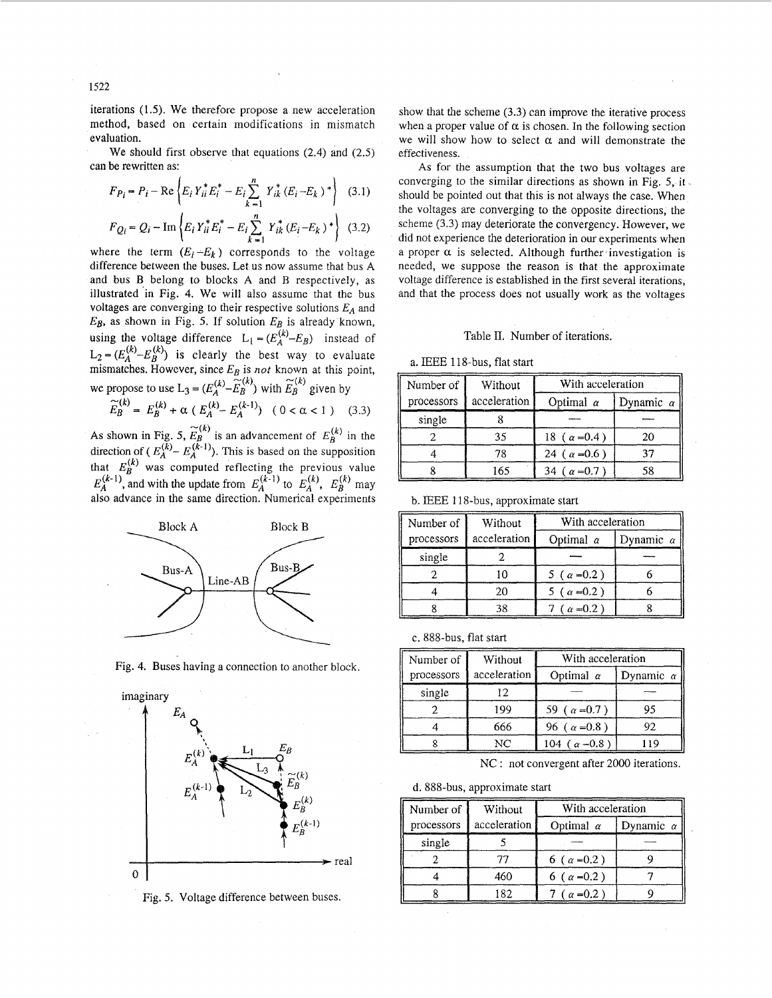<span id="page-3-0"></span>iterations (1 *S).* We therefore propose a new acceleration method, based on certain modifications in mismatch evaluation.

We should first observe that equations (2.4) and (2.5) can be rewritten as:

$$
F_{Pi} = P_i - \text{Re}\left\{ E_i Y_{ii}^* E_i^* - E_i \sum_{k=1}^n Y_{ik}^* (E_i - E_k)^* \right\}
$$
 (3.1)  

$$
F_{Qi} = Q_i - \text{Im}\left\{ E_i Y_{ii}^* E_i^* - E_i \sum_{k=1}^n Y_{ik}^* (E_i - E_k)^* \right\}
$$
 (3.2)

where the term  $(E_i - E_k)$  corresponds to the voltage difference between the buses. Let us now assume that bus **A**  and bus B belong to blocks **A** and B respectively, as illustrated 'in Fig. 4. We will also assume that the bus voltages are converging to their respective solutions  $E_A$  and *EB,* as shown in Fig. *5.* If solution *EB* is already known, using the voltage difference  $L_1 = (E_A^{(k)} - E_B)$  instead of  $L_2 = (E_A^{(k)} - E_B^{(k)})$  is clearly the best way to evaluate mismatches. However, since *EB* is *not* known at this point, we propose to use  $L_3 = (E_A^{(k)} - \widetilde{E}_B^{(k)})$  with  $\widetilde{E}_B^{(k)}$  given by

$$
\widetilde{E}_B^{(k)} = E_B^{(k)} + \alpha \, \left( \, E_A^{(k)} - E_A^{(k-1)} \right) \ \ \, ( \, 0 < \alpha < 1 \, \left) \quad \, (3.3)
$$

As shown in Fig. 5,  $\widetilde{E}_B^{(k)}$  is an advancement of  $E_B^{(k)}$  in the direction of  $(E_A^{(k)} - E_A^{(k-1)})$ . This is based on the supposition that  $E_B^{(k)}$  was computed reflecting the previous value  $E_A^{(k-1)}$ , and with the update from  $E_A^{(k-1)}$  to  $E_A^{(k)}$ ,  $E_B^{(k)}$  may also advance in the same direction. Numerical experiments



Fig. 4, Buses having a connection to another block.



Fig. *5.* Voltage difference between buses.

show that the scheme (3.3) can improve the iterative process when a proper value of  $\alpha$  is chosen. In the following section we will show how to select  $\alpha$  and will demonstrate the effectiveness.

**As** for the assumption that the two bus voltages are converging to the similar directions as shown in Fig. *5,* it should be pointed out that this is not always the case. When the voltages are converging to the opposite directions, the scheme (3.3) may deteriorate the convergency. However, we did not experience the deterioration in our experiments when a proper  $\alpha$  is selected. Although further investigation is needed, we suppose the reason is that the approximate voltage difference is established in the first several iterations, and that the process does not usually work as the voltages

### Table 11. Number of iterations.

a. IEEE 118-bus, flat start

| Number of  | Without      | With acceleration      |                  |
|------------|--------------|------------------------|------------------|
| processors | acceleration | Optimal $\alpha$       | Dynamic $\alpha$ |
| single     |              |                        |                  |
|            | 35           | 18 ( $\alpha = 0.4$ )  | 20               |
|            | 78           | 24 ( $\alpha$ =0.6)    | 37               |
|            | 165          | $\alpha = 0.7$ )<br>34 | 58               |

b. IEEE 118-bus, approximate start

| Number of  | Without      | With acceleration   |                  |  |  |  |
|------------|--------------|---------------------|------------------|--|--|--|
| processors | acceleration | Optimal $\alpha$    | Dynamic $\alpha$ |  |  |  |
| single     |              |                     |                  |  |  |  |
|            | 10           | 5 ( $\alpha$ = 0.2) |                  |  |  |  |
|            | 20           | 5 ( $\alpha$ = 0.2) |                  |  |  |  |
|            | 38           | $(\alpha = 0.2)$    |                  |  |  |  |

c. 888-bus, flat start

| Number of  | Without      | With acceleration      |                  |  |  |
|------------|--------------|------------------------|------------------|--|--|
| processors | acceleration | Optimal $\alpha$       | Dynamic $\alpha$ |  |  |
| single     | 12           |                        |                  |  |  |
|            | 199          | 59 ( $\alpha$ = 0.7)   | 95               |  |  |
|            | 666          | 96 ( $\alpha$ = 0.8)   | 92               |  |  |
|            | NС           | 104 ( $\alpha = 0.8$ ) | 119              |  |  |

NC : not convergent after 2000 iterations.

d. 888-bus, approximate start

| Number of  | Without      | With acceleration    |                  |  |  |  |
|------------|--------------|----------------------|------------------|--|--|--|
| processors | acceleration | Optimal $\alpha$     | Dynamic $\alpha$ |  |  |  |
| single     |              |                      |                  |  |  |  |
|            |              | 6 ( $\alpha$ = 0.2)  |                  |  |  |  |
|            | 460          | 6 ( $\alpha$ = 0.2)  |                  |  |  |  |
|            | 182          | 7 ( $\alpha = 0.2$ ) |                  |  |  |  |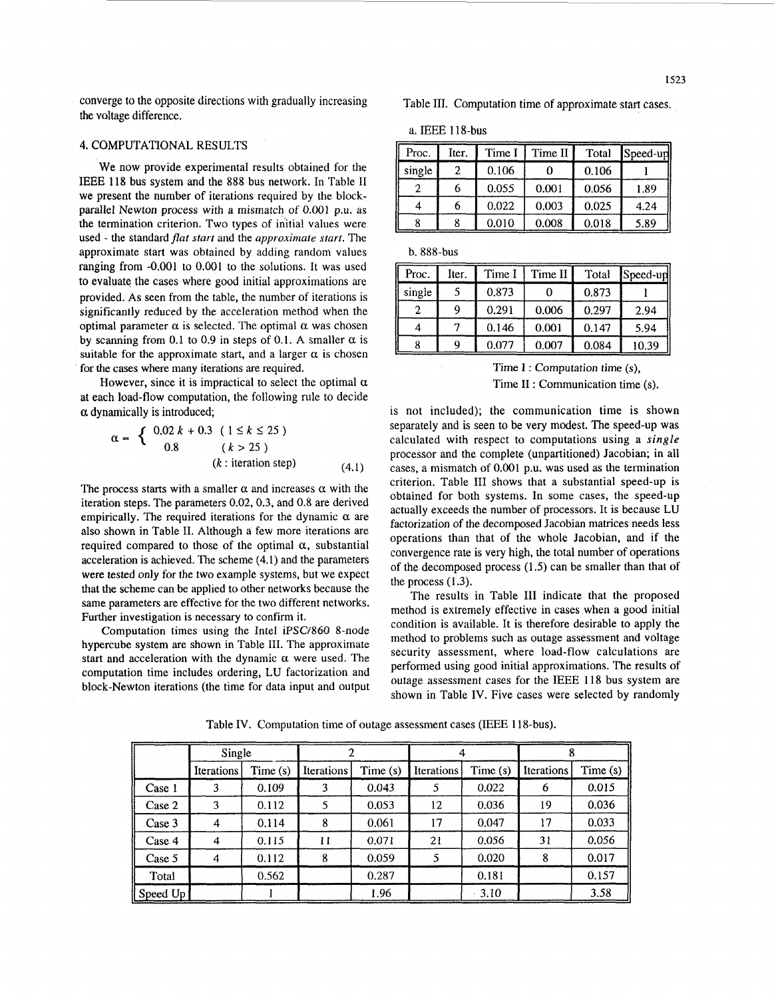converge to the opposite directions with gradually increasing the voltage difference.

# **4.** COMPUTATIONAL RESULTS

We now provide experimental results obtained for the IEEE 118 bus system and the 888 bus network. in Table I1 we present the number of iterations required by the blockparallel Newton process with a mismatch of 0.001 p.u. as the termination criterion. Two types of initial values were used - the standard *flat start* and the *approximate start.* The approximate start was obtained by adding random values ranging from -0.001 to 0.001 to the solutions. It was used to evaluate the cases where good initial approximations are provided. As seen from the table, the number of iterations is significantly reduced by the acceleration method when the optimal parameter  $\alpha$  is selected. The optimal  $\alpha$  was chosen by scanning from 0.1 to 0.9 in steps of 0.1. A smaller  $\alpha$  is suitable for the approximate start, and a larger  $\alpha$  is chosen for the cases where many iterations are required.

However, since it is impractical to select the optimal  $\alpha$ at each load-flow computation, the following rule to decide  $\alpha$  dynamically is introduced;<br>  $\alpha = \begin{cases} 0.02 \ k + 0.3 \ (1 \le k \le 25) \end{cases}$ 

$$
\alpha = \begin{cases} 0.02 \ k + 0.3 & (1 \le k \le 25) \\ 0.8 & (k > 25) \\ (k : \text{iteration step}) & (4.1) \end{cases}
$$

The process starts with a smaller  $\alpha$  and increases  $\alpha$  with the iteration steps. The parameters 0.02,0.3, and 0.8 are derived empirically. The required iterations for the dynamic  $\alpha$  are also shown in [Table 11.](#page-3-0) Although a few more iterations are required compared to those of the optimal  $\alpha$ , substantial acceleration is achieved. The scheme (4.1) and the parameters were tested only for the two example systems, but we expect that the scheme can be applied to other networks because the same parameters are effective for the two different networks. Further investigation is necessary to confirm it.

Computation times using the Intel iPSC/860 8-node hypercube system are shown in Table 111. The approximate start and acceleration with the dynamic  $\alpha$  were used. The computation time includes ordering, LU factorization and block-Newton iterations (the time for data input and output Table **111.** Computation time of approximate start cases.

a. IEEE 118-bus

| Proc.  | Iter. | Time I | Time II | Total | Speed-up |
|--------|-------|--------|---------|-------|----------|
| single | 2     | 0.106  |         | 0.106 |          |
|        | 6     | 0.055  | 0.001   | 0.056 | 1.89     |
|        | 6     | 0.022  | 0.003   | 0.025 | 4.24     |
|        |       | 0.010  | 0.008   | 0.018 | 5.89     |

b. 888-bus

| Proc.  | Iter. | Time I | Time II | Total | Speed-up |
|--------|-------|--------|---------|-------|----------|
| single |       | 0.873  |         | 0.873 |          |
|        |       | 0.291  | 0.006   | 0.297 | 2.94     |
| 4      |       | 0.146  | 0.001   | 0.147 | 5.94     |
|        |       | 0.077  | 0.007   | 0.084 | 10.39    |

# Time **I** : Computation time *(s),*  Time Ii : Communication time **(s).**

is not included); the communication time is shown separately and **is** seen to be very modest. The speed-up was calculated with respect to computations using a *single*  processor and the complete (unpanitioned) Jacobian; in all cases, a mismatch of 0.001 p.u. was used as the termination criterion. Table I11 shows that a substantial speed-up is obtained for both systems. In some cases, the speed-up actually exceeds the number of processors. It is because LU factorization of the decomposed Jacobian matrices needs less operations than that of the whole Jacobian, and if the convergence rate is very high, the total number of operations of the decomposed process (1 *S)* can be smaller than that of the process **(1.3).** 

The results in Table III indicate that the proposed method is extremely effective in cases when a good initial condition is available. It is therefore desirable to apply the method to problems such as outage assessment and voltage security assessment, where load-flow calculations are performed using good initial approximations. The results of outage assessment cases for the IEEE 118 bus system are shown in Table IV. Five cases were selected by randomly

|          | Single            |         | 2                 |            |            |          |                   |          |
|----------|-------------------|---------|-------------------|------------|------------|----------|-------------------|----------|
|          | <b>Iterations</b> | Time(s) | <b>Iterations</b> | Time $(s)$ | Iterations | Time (s) | <b>Iterations</b> | Time (s) |
| Case 1   | 3                 | 0.109   | 3                 | 0.043      | 5          | 0.022    | 6                 | 0.015    |
| Case 2   | 3                 | 0.112   | 5                 | 0.053      | 12         | 0.036    | 19                | 0.036    |
| Case 3   | 4                 | 0.114   | 8                 | 0.061      | 17         | 0.047    | 17                | 0.033    |
| Case 4   | 4                 | 0.115   | 11                | 0.071      | 21         | 0.056    | 31                | 0.056    |
| Case 5   | 4                 | 0.112   | 8                 | 0.059      |            | 0.020    | 8                 | 0.017    |
| Total    |                   | 0.562   |                   | 0.287      |            | 0.181    |                   | 0.157    |
| Speed Up |                   |         |                   | 1.96       |            | $-3.10$  |                   | 3.58     |

Table IV. Computation time of outage assessment cases (IEEE 118-bus).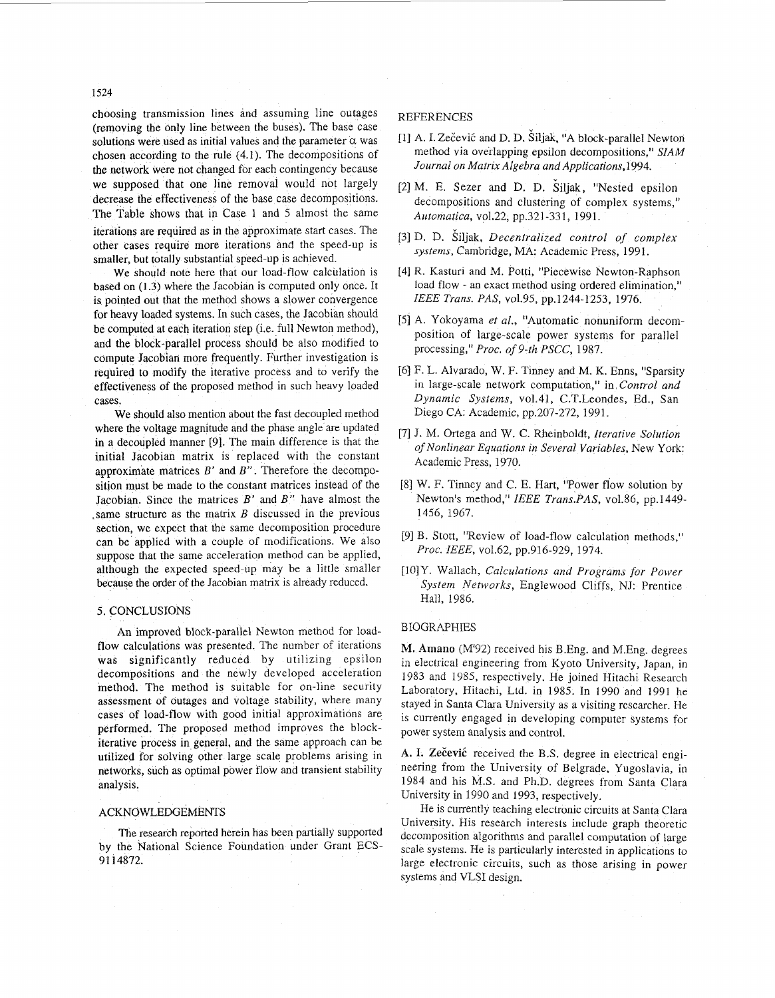choosing transmission lines and assuming line outages (removing the only line between the buses). The base case solutions were used as initial values and the parameter  $\alpha$  was chosen according *to* the rule (4.1). The decompositions of the network were not changed for each contingency because we supposed that one line removal would not largely decrease the effectiveness of the base case decompositions. The Table shows that in Case 1 and *5* almost the same iterations are required as in the approximate start cases. The other cases require more iterations and the speed-up is smaller, but totally substantial speed-up is achieved.

We should note here that our load-flow calculation is based on **(1.3)** where the Jacobian is computed only once. It is pointed out that the method shows a slower convergence for heavy loaded systems. In such cases, the Jacobian should be computed at each iteration step (i.e. full Newton method), and the block-parallel process should be also modified to compute Jacobian more frequently. Further investigation is required to modify the iterative process and to verify the effectiveness of the proposed method in such heavy loaded cases.

We should also mention about the fast decoupled method where the voltage magnitude and the phase angle are updated in a decoupled manner [9]. The main difference is that the initial Jacobian matrix is replaced with the constant approximate matrices *B'* and *B"* . Therefore the decomposition must be made to the constant matrices instead of the Jacobian. Since the matrices *B'* and *B"* have almost the .same structure as the matrix *B* discussed in the previous section, we expect that the same decomposition procedure can be applied with a couple of modifications. We also suppose that the same acceleration method can be applied, although the expected speed-up may be a little smaller because the order of the Jacobian matrix is already reduced.

### 5. CONCLUSIONS

An improved block-parallel Newton method for loadflow calculations was presented. The number of iterations was significantly reduced by utilizing epsilon decompositions and the newly developed acceleration method. The method is suitable for on-line security assessment of outages and voltage stability, where many cases of load-flow with good initial approximations are performed. The proposed method improves the blockiterative process in general, and the same approach can be utilized for solving other large scale problems arising in networks, such as optimal power flow and transient stability analysis.

#### ACKNOWEDGEMENTS

The research reported herein has been partially supported by the National Science Foundation under Grant ECS-9 1 14872.

## **REFERENCES**

- [1] A. I. Zečević and D. D. Šiljak, "A block-parallel Newton method via overlapping epsilon decompositions," *SIAM*  Journal on Matrix Algebra and Applications, 1994.
- *[2]* M. E. Sezer and D. D. Siljak, "Nested epsilon decompositions and clustering of complex systems," *Automatica, vol.22*, pp.321-331, 1991.
- [3] D. D. kiljak, *Decentralized control of complex systems,* Cambridge, MA: Academic Press, 199 1.
- [4] R. Kasturi and M. Potti, "Piecewise Newton-Raphson load flow - an exact method using ordered elimination," *IEEE Trans. PAS,* vo1.95, pp.1244-1253, 1976.
- *[5]* A. Yokoyama *et al.,* "Automatic nonuniform decomposition of large-scale power systems for parallel processing," *Proc. of 9-th PSCC*, 1987.
- in large-scale network computation," in *Control and Dynamic Systems,* ~01.41, C.T.Leondes, Ed., San Diego CA: Academic, pp.207-272, 1991. *[6]* F. L. Alvarado, W. F. Tinney and M. K. Enns, "Sparsity
- [7] J. M. Ortega and W. *C.* Rheinboldt, *Iterative Solution*   $of$  *Nonlinear Equations in Several Variables, New York:* Academic Press, 1970.
- [8] W. F. Tinney and C. E. Hart, "Power flow solution by Newton's method," *IEEE Trans.PAS,* vo1.86, pp. 1449- 1456, 1967.
- [9] B. Stott, "Review of load-flow calculation methods," *Proc. IEEE,* vo1.62, pp.916-929, 1974.
- [lo] Y. Wallach, *Calculations and Programs for Power System Networks,* Englewood Cliffs, NJ: Prentice Hall, 1986.

#### BIOGRAPHIES

**M. Amano** (M'92) received his B.Eng. and M.Eng. degrees in electrical engineering from Kyoto University, Japan, in 1983 and 1985, respectively. He joined Hitachi Research Laboratory, Hitachi, Ltd. in 1985. In 1990 and 1991 he stayed in Santa Clara University as a visiting researcher. He is currently engaged in developing computer systems for power system analysis and control.

A. I. Zečević received the B.S. degree in electrical engineering from the University of Belgrade, Yugoslavia, in 1984 and his M.S. and Ph.D. degrees from Santa Clara University in 1990 and 1993, respectively.

He is currently teaching electronic circuits at Santa Clara University. His research interests include graph theoretic decomposition algorithms and parallel computation of large scale systems. He is particularly interested in applications to large electronic circuits, such as those arising in power systems and VLSI design.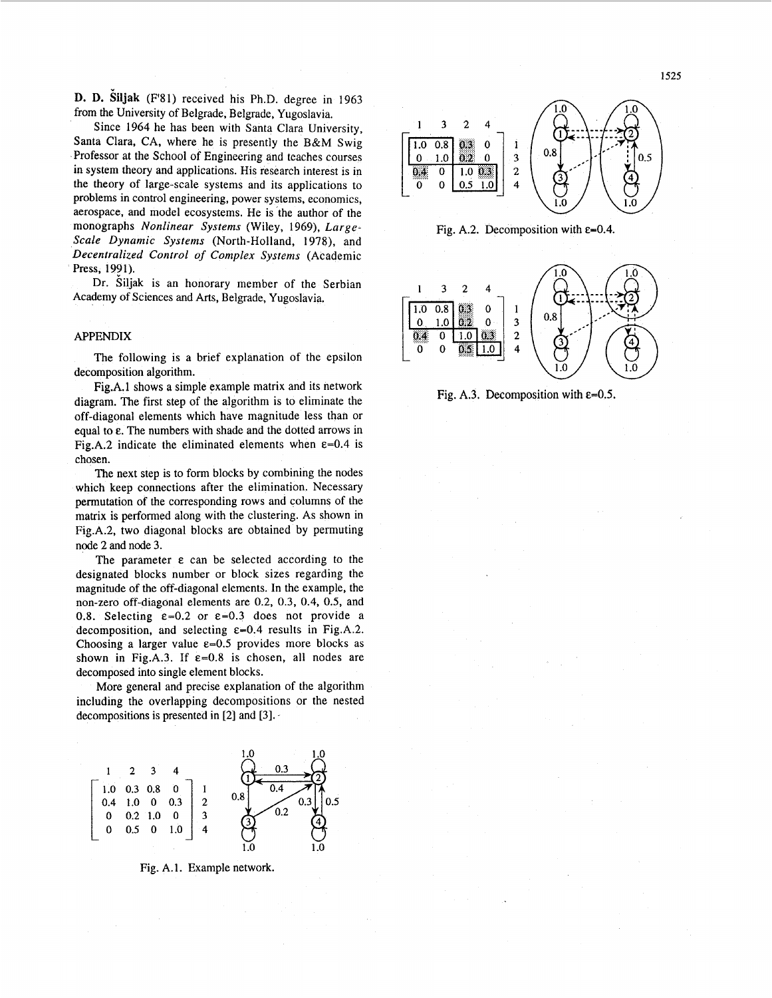**D. D. Siljak** (F'81) received his Ph.D. degree in 1963 from the University of Belgrade, Belgrade, Yugoslavia.

Since 1964 he has been with Santa Clara University, Santa Clara, CA, where he is presently the B&M Swig Professor at the School of Engineering and teaches courses in system theory and applications. His research interest is in the theory of large-scale systems and its applications to problems in control engineering, power systems, economics, aerospace, and model ecosystems. He is the author of the monographs *Nonlinear Systems* (Wiley, 1969), *Large-Scale Dynamic Systems* (North-Holland, 1978), and *Decentralized Control* of *Complex Systems* (Academic Press, 1991).

Dr. Siljak is an honorary member of the Serbian Academy of Sciences **and** *Arts,* Belgrade, Yugoslavia.

# APPENDIX

The following is a brief explanation of the epsilon decomposition algorithm.

Fig.A.l shows a simple example matrix and its network diagram. The first step of the algorithm is to eliminate the off-diagonal elements which have magnitude less than or equal to  $\varepsilon$ . The numbers with shade and the dotted arrows in Fig.A.2 indicate the eliminated elements when  $\varepsilon$ =0.4 is chosen.

The next step is to form blocks by combining the nodes which keep connections after the elimination. Necessary permutation of the corresponding rows and columns of the matrix is performed along with the clustering. As shown in Fig.A.2, two diagonal blocks are obtained by permuting node 2 and node 3.

The parameter  $\varepsilon$  can be selected according to the designated blocks number or block sizes regarding the magnitude of the off-diagonal elements. In the example, the non-zero off-diagonal elements are 0.2, **0.3, 0.4,** 0.5, and 0.8. Selecting  $\varepsilon = 0.2$  or  $\varepsilon = 0.3$  does not provide a decomposition, and selecting  $\varepsilon$ =0.4 results in Fig.A.2. Choosing a larger value  $\varepsilon$ =0.5 provides more blocks as shown in Fig.A.3. If  $\varepsilon = 0.8$  is chosen, all nodes are decomposed into single element blocks.

More general and precise explanation of the algorithm including the overlapping decompositions or the nested decompositions is presented in  $[2]$  and  $[3]$ .



Fig. A.1. Example network.







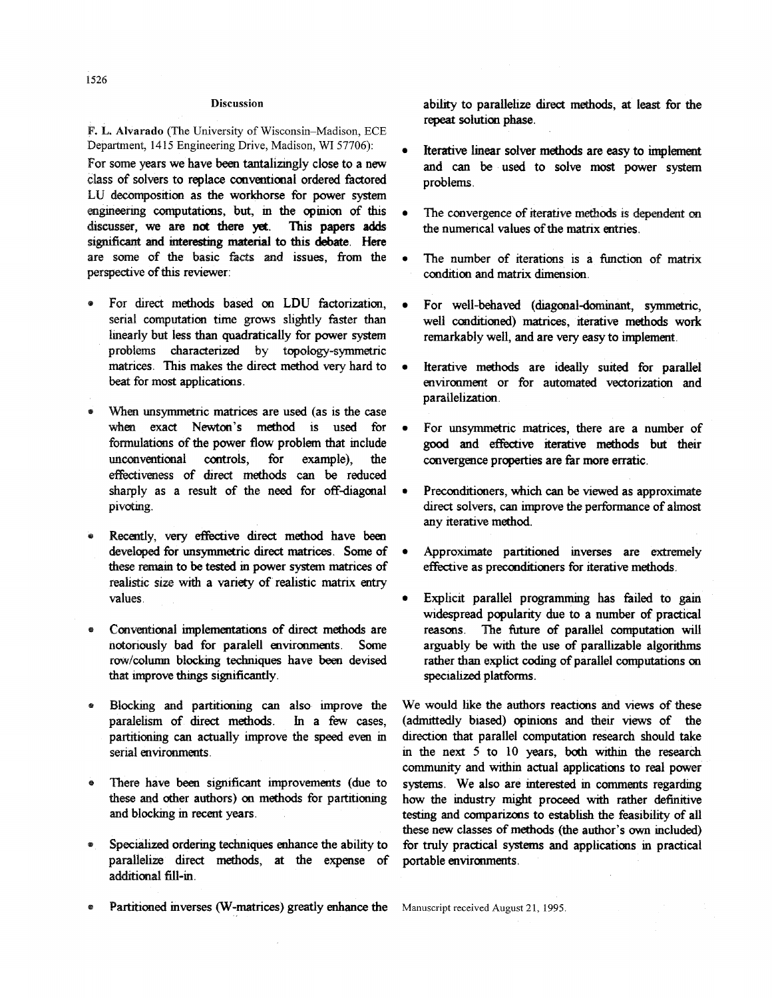#### **Discussion**

**F. L. Alvarado** (The University of Wisconsin-Madison, ECE Department, 1415 Engineering Drive, Madison, WI 57706):

For some years we have been tantalizingly close to a new class of solvers to replace conventional ordered factored **osition** as the workhorse for power **system**  engineering computations, but, in the opinion of this This **papers adds are not there yet**  significant and interesting material to this debate. Here are some of the basic facts and issues, from the perspective of this reviewer:

- For direct methods based on LDU factorization, serial computation time grows slightly faster than linearly but less than quadratically for power system problems characterized by topology-symmetric **matnces This** makes the direct **method** very hard to beat for most applications.
- When unsymmetric matrices are used (as is the case when exact Newton's method is used for formulations of the power flow problem that include unconventional controls, for example), the effectiveness of direct methods can be reduced sharply as a result of the need for off-diagonal pivoting.
- Recently, very effective direct method have been developed for unsymmetric direct matrices. Some of these remain to be tested in power system matrices of realistic size with a variety of realistic matrix entry values
- $\bullet$ Conventional implementations of direct **methods** are notonausly bad for paralell enwronmenrts. Some row/column blocking techniques have been devised that improve things significantly.
- Blocking and partitioning can also improve the paralelism of direct methods. In a few cases, partitioning can actually improve the speed even in serial environments.
- There have been significant improvements (due to these and other authors) on methods for partitioning and blockmg m recent years
- Specialized ordering techniques enhance the ability to ۸ **direct** methods, **at** the expense of additional fill-in.
- **Partitioned inverses (W-matrices) greatly enhance the** Manuscript received August 21, 1995.

ability to parallelize direct methods, at least for the repeat solution phase.

- Iterative **linear** solver **methods** are **easy**  and can be used to solve most power system problems. *0*
- The convergence of *iterative* methods is dependent on the numerical values of the matrix entries.
- $\bullet$ The number of iterations is a function of matrix  $c$ *condition and matrix dimension*
- For well-behaved (diagonal-dominant, symmetric, well conditioned) matrices, iterative methods work remarkably well, and are very easy to implement.
- Iterative methods are ideally suited for parallel environment or for automated vectorization and parallelization.
- For unsymmetnc matnces, there are a number of *good* and ef€e&ve *iterative* **methods but** their convergence properties are far more erratic.
- Preconditioners, which can be viewed as approximate direct solvers, can improve the performance of almost any iterative **method.**
- Approximate partitioned inverses are extremely effective as preconditioners for iterative methods.
- **Explicit parallel programming has failed to gain wdespread populanty due to a number** of **practical**  reasons. The future of parallel computation will arguably be with the use of parallizable algorithms rather than explict coding of parallel computations on specialized platforms.

We would like the authors reactions and views of these (admrttedly **biased) opmions** and theu **mews** of the direction that parallel computation research should take in the next 5 to 10 years, both within the research community and within actual applications to real power systems. We also are interested in comments regarding how the industry might proceed with rather definitive testing and comparizons to establish the feasibility of all these new classes of methods (the author's own included) for truly practical systems and applications in practical portable environments.